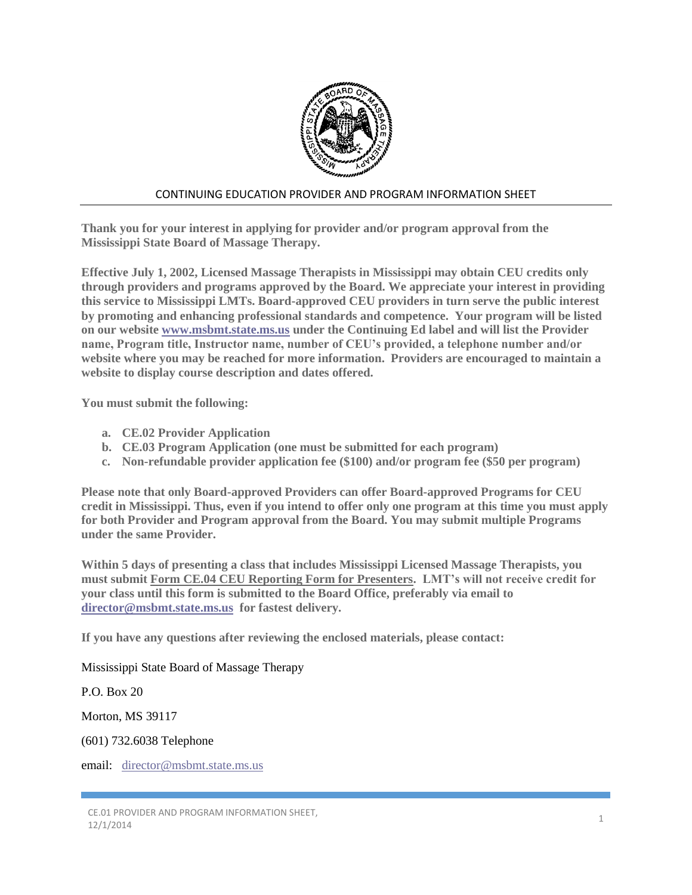

## CONTINUING EDUCATION PROVIDER AND PROGRAM INFORMATION SHEET

**Thank you for your interest in applying for provider and/or program approval from the Mississippi State Board of Massage Therapy.**

**Effective July 1, 2002, Licensed Massage Therapists in Mississippi may obtain CEU credits only through providers and programs approved by the Board. We appreciate your interest in providing this service to Mississippi LMTs. Board-approved CEU providers in turn serve the public interest by promoting and enhancing professional standards and competence. Your program will be listed on our website [www.msbmt.state.ms.us](http://www.msbmt.state.ms.us/) under the Continuing Ed label and will list the Provider name, Program title, Instructor name, number of CEU's provided, a telephone number and/or website where you may be reached for more information. Providers are encouraged to maintain a website to display course description and dates offered.**

**You must submit the following:**

- **a. CE.02 Provider Application**
- **b. CE.03 Program Application (one must be submitted for each program)**
- **c. Non-refundable provider application fee (\$100) and/or program fee (\$50 per program)**

**Please note that only Board-approved Providers can offer Board-approved Programs for CEU credit in Mississippi. Thus, even if you intend to offer only one program at this time you must apply for both Provider and Program approval from the Board. You may submit multiple Programs under the same Provider.**

**Within 5 days of presenting a class that includes Mississippi Licensed Massage Therapists, you must submit Form CE.04 CEU Reporting Form for Presenters. LMT's will not receive credit for your class until this form is submitted to the Board Office, preferably via email to [director@msbmt.state.ms.us](mailto:director@msbmt.state.ms.us) for fastest delivery.** 

**If you have any questions after reviewing the enclosed materials, please contact:**

Mississippi State Board of Massage Therapy

P.O. Box 20

Morton, MS 39117

(601) 732.6038 Telephone

email: [director@msbmt.state.ms.us](mailto:director@msbmt.state.ms.us)

CE.01 PROVIDER AND PROGRAM INFORMATION SHEET,  $12/1/2014$  12/1/2014